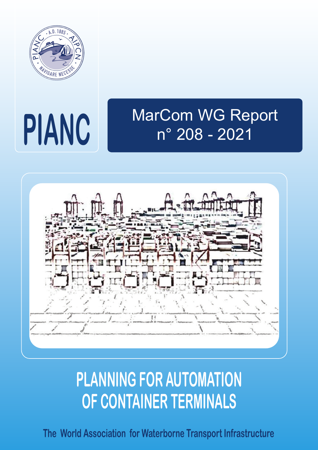

# **PIANC**

# MarCom WG Report n° 208 - 2021



# **PLANNING FOR AUTOMATION OF CONTAINER TERMINALS**

**The World Association for Waterborne Transport Infrastructure**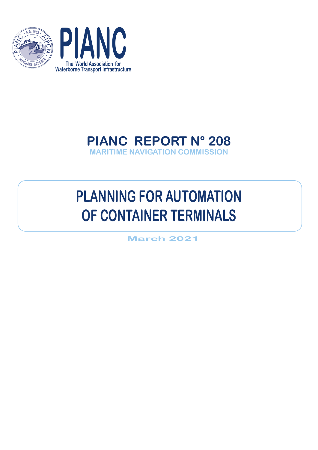



## **PIANC REPORT N° 208 MARITIME NAVIGATION COMMISSION**

# **PLANNING FOR AUTOMATION OF CONTAINER TERMINALS**

**March 2021**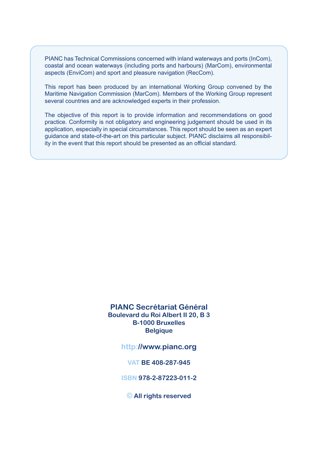PIANC has Technical Commissions concerned with inland waterways and ports (InCom), coastal and ocean waterways (including ports and harbours) (MarCom), environmental aspects (EnviCom) and sport and pleasure navigation (RecCom).

This report has been produced by an international Working Group convened by the Maritime Navigation Commission (MarCom). Members of the Working Group represent several countries and are acknowledged experts in their profession.

The objective of this report is to provide information and recommendations on good practice. Conformity is not obligatory and engineering judgement should be used in its application, especially in special circumstances. This report should be seen as an expert guidance and state-of-the-art on this particular subject. PIANC disclaims all responsibility in the event that this report should be presented as an official standard.

#### **PIANC Secrétariat Général Boulevard du Roi Albert II 20, B 3 B-1000 Bruxelles Belgique**

**http://www.pianc.org**

**VAT BE 408-287-945**

**ISBN 978-2-87223-011-2**

**© All rights reserved**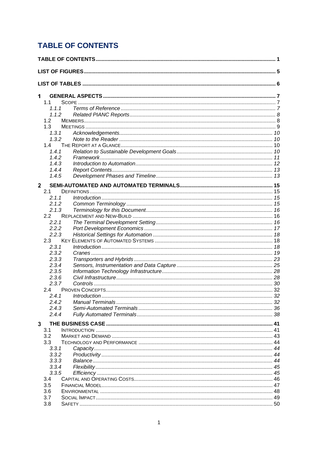### <span id="page-3-0"></span>**TABLE OF CONTENTS**

| 1            |                |  |  |  |
|--------------|----------------|--|--|--|
|              | 1.1            |  |  |  |
|              | 1.1.1          |  |  |  |
|              | 1.1.2          |  |  |  |
|              | 1.2            |  |  |  |
|              | 1.3            |  |  |  |
|              | 1.3.1<br>1.3.2 |  |  |  |
|              | 1.4            |  |  |  |
|              | 1.4.1          |  |  |  |
|              | 1.4.2          |  |  |  |
|              | 1.4.3          |  |  |  |
|              | 1.4.4          |  |  |  |
|              | 1.4.5          |  |  |  |
| $\mathbf{2}$ |                |  |  |  |
|              | 2.1            |  |  |  |
|              | 2.1.1          |  |  |  |
|              | 2.1.2          |  |  |  |
|              | 2.1.3          |  |  |  |
|              | 2.2            |  |  |  |
|              | 2.2.1          |  |  |  |
|              | 2.2.2          |  |  |  |
|              | 2.2.3          |  |  |  |
|              | 2.3            |  |  |  |
|              | 2.3.1          |  |  |  |
|              | 2.3.2<br>2.3.3 |  |  |  |
|              | 2.3.4          |  |  |  |
|              | 2.3.5          |  |  |  |
|              | 2.3.6          |  |  |  |
|              | 2.3.7          |  |  |  |
|              | $2.4^{\circ}$  |  |  |  |
|              |                |  |  |  |
|              | 2.4.2          |  |  |  |
|              | 2.4.3          |  |  |  |
|              | 2.4.4          |  |  |  |
| 3            |                |  |  |  |
|              | 3.1            |  |  |  |
|              | 3.2            |  |  |  |
|              | 3.3            |  |  |  |
|              | 3.3.1          |  |  |  |
|              | 3.3.2          |  |  |  |
|              | 3.3.3          |  |  |  |
|              | 3.3.4          |  |  |  |
|              | 3.3.5<br>3.4   |  |  |  |
|              | 3.5            |  |  |  |
|              | 3.6            |  |  |  |
|              | 3.7            |  |  |  |
|              | 3.8            |  |  |  |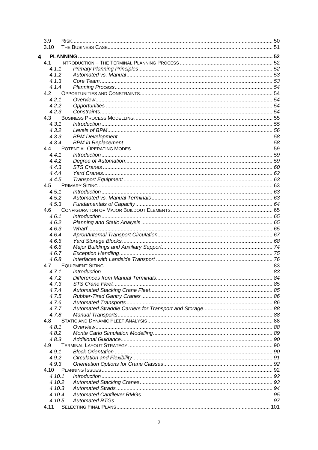|   | 3.9            |                    |  |
|---|----------------|--------------------|--|
|   | 3.10           |                    |  |
| 4 |                |                    |  |
|   | 4.1            |                    |  |
|   | 4.1.1          |                    |  |
|   | 4.1.2          |                    |  |
|   | 4.1.3          |                    |  |
|   | 4.1.4          |                    |  |
|   | 4.2            |                    |  |
|   | 4.2.1          |                    |  |
|   | 4.2.2          |                    |  |
|   | 4.2.3          |                    |  |
|   | 4.3            |                    |  |
|   | 4.3.1<br>4.3.2 |                    |  |
|   | 4.3.3          |                    |  |
|   | 4.3.4          |                    |  |
|   | 4.4            |                    |  |
|   | 4.4.1          | Introduction 1, 59 |  |
|   | 442            |                    |  |
|   | 4.4.3          |                    |  |
|   | 444            |                    |  |
|   | 4.4.5          |                    |  |
|   | 4.5            |                    |  |
|   | 4.5.1          |                    |  |
|   | 4.5.2          |                    |  |
|   | 4.5.3          |                    |  |
|   | 4.6            |                    |  |
|   | 4.6.1          |                    |  |
|   | 4.6.2          |                    |  |
|   | 4.6.3          |                    |  |
|   | 4.6.4          |                    |  |
|   | 4.6.5          |                    |  |
|   | 4.6.6<br>4.6.7 |                    |  |
|   | 4.6.8          |                    |  |
|   | 4.7            |                    |  |
|   | 4.7.1          |                    |  |
|   |                |                    |  |
|   | 4.7.3          |                    |  |
|   | 4.7.4          |                    |  |
|   | 4.7.5          |                    |  |
|   | 4.7.6          |                    |  |
|   | 4.7.7          |                    |  |
|   | 4.7.8          |                    |  |
|   | 4.8            |                    |  |
|   | 4.8.1          |                    |  |
|   | 4.8.2          |                    |  |
|   | 4.8.3          |                    |  |
|   | 4.9            |                    |  |
|   | 4.9.1          |                    |  |
|   | 4.9.2          |                    |  |
|   | 4.9.3<br>4.10  |                    |  |
|   | 4.10.1         |                    |  |
|   | 4.10.2         |                    |  |
|   | 4.10.3         |                    |  |
|   | 4.10.4         |                    |  |
|   | 4.10.5         |                    |  |
|   | 4.11           |                    |  |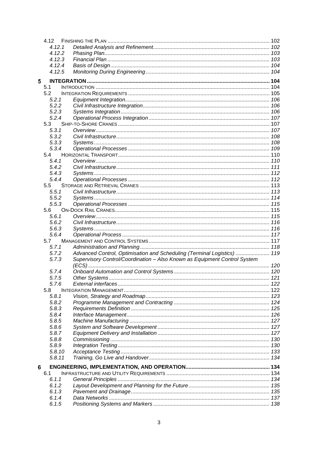|   | 4.12           |                                                                           |  |
|---|----------------|---------------------------------------------------------------------------|--|
|   | 4.12.1         |                                                                           |  |
|   | 4.12.2         |                                                                           |  |
|   | 4.12.3         |                                                                           |  |
|   | 4.12.4         |                                                                           |  |
|   | 4.12.5         |                                                                           |  |
| 5 |                |                                                                           |  |
|   | 5.1            |                                                                           |  |
|   | 5.2            |                                                                           |  |
|   | 5.2.1          |                                                                           |  |
|   | 5.2.2          |                                                                           |  |
|   | 5.2.3          |                                                                           |  |
|   | 5.2.4          |                                                                           |  |
|   | 5.3            |                                                                           |  |
|   | 5.3.1          |                                                                           |  |
|   | 5.3.2          |                                                                           |  |
|   | 5.3.3<br>5.3.4 |                                                                           |  |
|   | 5.4            |                                                                           |  |
|   | 5.4.1          |                                                                           |  |
|   | 5.4.2          |                                                                           |  |
|   | 5.4.3          |                                                                           |  |
|   | 5.4.4          |                                                                           |  |
|   | 5.5            |                                                                           |  |
|   | 5.5.1          |                                                                           |  |
|   | 5.5.2          |                                                                           |  |
|   | 5.5.3          |                                                                           |  |
|   | 5.6            |                                                                           |  |
|   | 5.6.1          |                                                                           |  |
|   | 5.6.2          |                                                                           |  |
|   | 5.6.3          |                                                                           |  |
|   | 5.6.4          |                                                                           |  |
|   | 5.7            |                                                                           |  |
|   | 5.7.1          |                                                                           |  |
|   | 5.7.2          | Advanced Control, Optimisation and Scheduling (Terminal Logistics)  119   |  |
|   | 5.7.3          | Supervisory Control/Coordination - Also Known as Equipment Control System |  |
|   | 5.7.4          |                                                                           |  |
|   | 5.7.5          |                                                                           |  |
|   | 5.7.6          |                                                                           |  |
|   | 5.8            |                                                                           |  |
|   | 5.8.1          |                                                                           |  |
|   | 5.8.2          |                                                                           |  |
|   | 5.8.3          |                                                                           |  |
|   | 5.8.4          |                                                                           |  |
|   | 5.8.5          |                                                                           |  |
|   | 5.8.6          |                                                                           |  |
|   | 5.8.7          |                                                                           |  |
|   | 5.8.8          |                                                                           |  |
|   | 5.8.9          |                                                                           |  |
|   | 5.8.10         |                                                                           |  |
|   | 5.8.11         |                                                                           |  |
| 6 |                |                                                                           |  |
|   | 6.1            |                                                                           |  |
|   | 6.1.1          |                                                                           |  |
|   | 6.1.2          |                                                                           |  |
|   | 6.1.3          |                                                                           |  |
|   | 6.1.4          |                                                                           |  |
|   | 6.1.5          |                                                                           |  |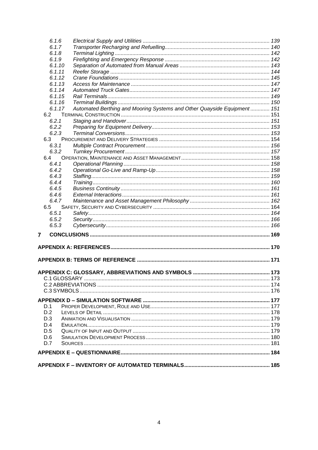| 6.1.6  |                                                                          |  |
|--------|--------------------------------------------------------------------------|--|
| 6.1.7  |                                                                          |  |
| 6.1.8  |                                                                          |  |
| 6.1.9  |                                                                          |  |
| 6.1.10 |                                                                          |  |
| 6.1.11 |                                                                          |  |
| 6.1.12 |                                                                          |  |
| 6.1.13 |                                                                          |  |
| 6.1.14 |                                                                          |  |
| 6.1.15 |                                                                          |  |
| 6.1.16 |                                                                          |  |
| 6.1.17 | Automated Berthing and Mooring Systems and Other Quayside Equipment  151 |  |
| 6.2    |                                                                          |  |
| 6.2.1  |                                                                          |  |
| 6.2.2  |                                                                          |  |
| 6.2.3  |                                                                          |  |
| 6.3    |                                                                          |  |
| 6.3.1  |                                                                          |  |
| 6.3.2  |                                                                          |  |
| 6.4    |                                                                          |  |
| 6.4.1  |                                                                          |  |
| 6.4.2  |                                                                          |  |
|        |                                                                          |  |
| 6.4.3  |                                                                          |  |
| 6.4.4  |                                                                          |  |
| 6.4.5  |                                                                          |  |
| 6.4.6  |                                                                          |  |
| 6.4.7  |                                                                          |  |
| 6.5    |                                                                          |  |
| 6.5.1  |                                                                          |  |
| 6.5.2  |                                                                          |  |
| 6.5.3  |                                                                          |  |
| 7      |                                                                          |  |
|        |                                                                          |  |
|        |                                                                          |  |
|        |                                                                          |  |
|        |                                                                          |  |
|        |                                                                          |  |
|        |                                                                          |  |
|        |                                                                          |  |
|        |                                                                          |  |
|        |                                                                          |  |
|        |                                                                          |  |
| D.1    |                                                                          |  |
| D.2    |                                                                          |  |
| D.3    |                                                                          |  |
| D.4    |                                                                          |  |
|        |                                                                          |  |
| D.5    |                                                                          |  |
| D.6    |                                                                          |  |
| D.7    |                                                                          |  |
|        |                                                                          |  |
|        |                                                                          |  |
|        |                                                                          |  |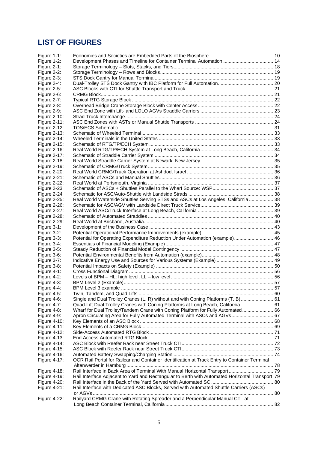#### <span id="page-7-0"></span>**LIST OF FIGURES**

| Figure 1-1:         |                                                                                                 |  |
|---------------------|-------------------------------------------------------------------------------------------------|--|
| Figure 1-2:         | Development Phases and Timeline for Container Terminal Automation  14                           |  |
| Figure 2-1:         |                                                                                                 |  |
| Figure 2-2:         |                                                                                                 |  |
| Figure 2-3:         |                                                                                                 |  |
| Figure 2-4:         |                                                                                                 |  |
| Figure 2-5:         |                                                                                                 |  |
| Figure 2-6:         |                                                                                                 |  |
| Figure 2-7:         |                                                                                                 |  |
| Figure 2-8:         |                                                                                                 |  |
| Figure 2-9:         |                                                                                                 |  |
| Figure 2-10:        |                                                                                                 |  |
| Figure 2-11:        |                                                                                                 |  |
| Figure 2-12:        |                                                                                                 |  |
| <b>Figure 2-13:</b> |                                                                                                 |  |
| Figure 2-14:        |                                                                                                 |  |
| Figure 2-15:        |                                                                                                 |  |
| Figure 2-16:        |                                                                                                 |  |
| <b>Figure 2-17:</b> |                                                                                                 |  |
| <b>Figure 2-18:</b> |                                                                                                 |  |
| <b>Figure 2-19:</b> |                                                                                                 |  |
| <b>Figure 2-20:</b> |                                                                                                 |  |
| <b>Figure 2-21:</b> |                                                                                                 |  |
| Figure 2-22:        |                                                                                                 |  |
| Figure 2-23         |                                                                                                 |  |
| Figure 2-24         |                                                                                                 |  |
| <b>Figure 2-25:</b> | Real World Waterside Shuttles Serving STSs and ASCs at Los Angeles, California  38              |  |
| <b>Figure 2-26:</b> |                                                                                                 |  |
| <b>Figure 2-27:</b> |                                                                                                 |  |
| <b>Figure 2-28:</b> |                                                                                                 |  |
| <b>Figure 2-29:</b> |                                                                                                 |  |
| Figure 3-1:         |                                                                                                 |  |
| Figure 3-2:         |                                                                                                 |  |
| Figure 3-3:         | Potential for Operating Expenditure Reduction Under Automation (example) 46                     |  |
| Figure 3-4:         |                                                                                                 |  |
| Figure 3-5:         |                                                                                                 |  |
| Figure 3-6:         |                                                                                                 |  |
| Figure 3-7:         |                                                                                                 |  |
| Figure 3-8:         |                                                                                                 |  |
| Figure 4-1:         |                                                                                                 |  |
| Figure 4-2:         |                                                                                                 |  |
| Figure 4-3:         |                                                                                                 |  |
| Figure 4-4:         |                                                                                                 |  |
| Figure 4-5:         |                                                                                                 |  |
| Figure 4-6:         | Single and Dual Trolley Cranes (L, R) without and with Coning Platforms (T, B)  61              |  |
| Figure 4-7:         | Quad-Lift Dual Trolley Cranes with Coning Platforms at Long Beach, California  61               |  |
| Figure 4-8:         | Wharf for Dual Trolley/Tandem Crane with Coning Platform for Fully Automated 66                 |  |
| Figure 4-9:         | Apron Circulating Area for Fully Automated Terminal with ASCs and AGVs 67                       |  |
| <b>Figure 4-10:</b> |                                                                                                 |  |
| Figure 4-11:        |                                                                                                 |  |
| Figure 4-12:        |                                                                                                 |  |
| Figure 4-13:        |                                                                                                 |  |
| Figure 4-14:        |                                                                                                 |  |
| Figure 4-15:        |                                                                                                 |  |
| Figure 4-16:        |                                                                                                 |  |
| <b>Figure 4-17:</b> | OCR Rail Portal for Railcar and Container Identification at Track Entry to Container Terminal   |  |
|                     |                                                                                                 |  |
| Figure 4-18:        | Rail Interface in Back Area of Terminal With Manual Horizontal Transport 79                     |  |
| <b>Figure 4-19:</b> | Rail Interface Adjacent to Yard and Rectangular to Berth with Automated Horizontal Transport 79 |  |
| <b>Figure 4-20:</b> |                                                                                                 |  |
| <b>Figure 4-21:</b> | Rail Interface with Dedicated ASC Blocks, Served with Automated Shuttle Carriers (ASCs)         |  |
|                     |                                                                                                 |  |
| <b>Figure 4-22:</b> | Railyard CRMG Crane with Rotating Spreader and a Perpendicular Manual CTI at                    |  |
|                     |                                                                                                 |  |